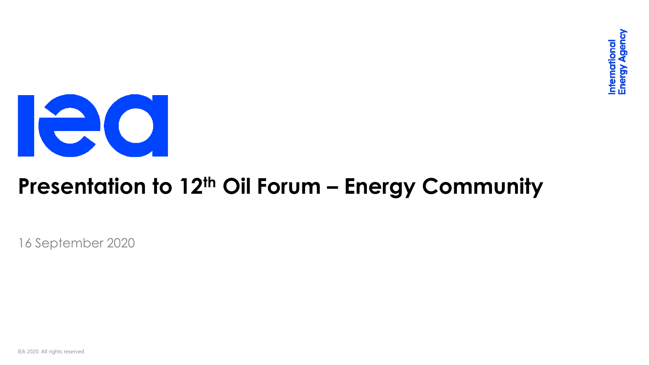

### **Presentation to 12th Oil Forum – Energy Community**

16 September 2020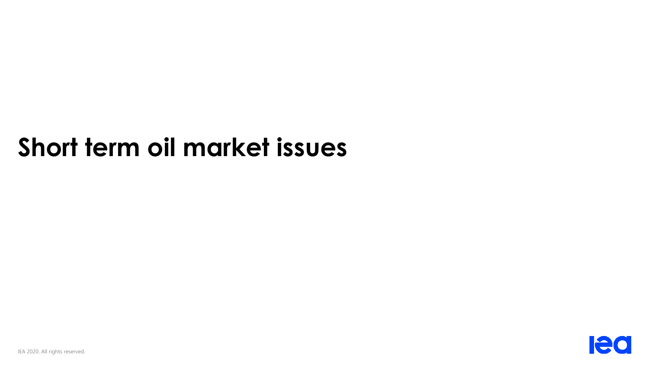# **Short term oil market issues**

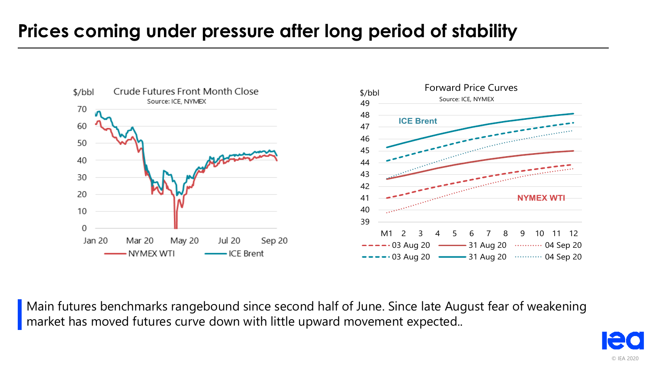### **Prices coming under pressure after long period of stability**



Main futures benchmarks rangebound since second half of June. Since late August fear of weakening market has moved futures curve down with little upward movement expected..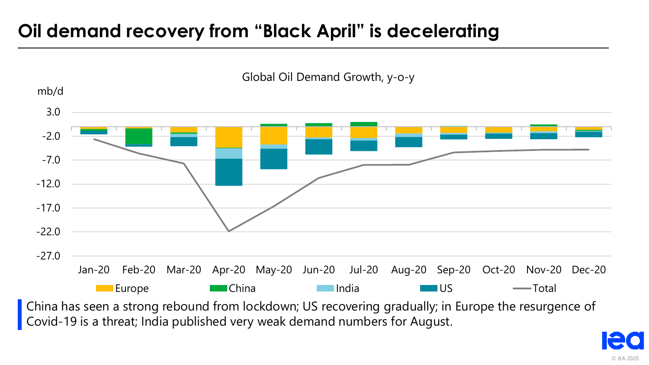### **Oil demand recovery from "Black April" is decelerating**

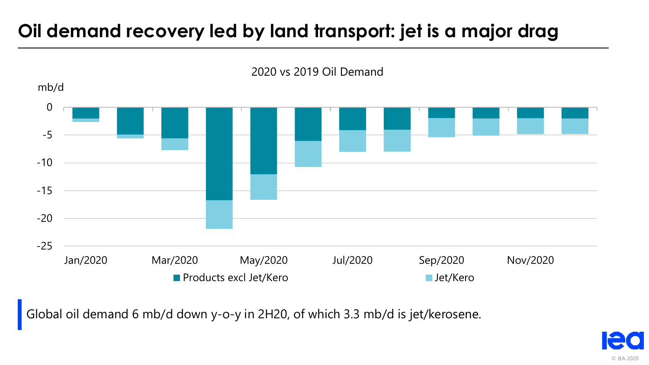### **Oil demand recovery led by land transport: jet is a major drag**



2020 vs 2019 Oil Demand

Global oil demand 6 mb/d down y-o-y in 2H20, of which 3.3 mb/d is jet/kerosene.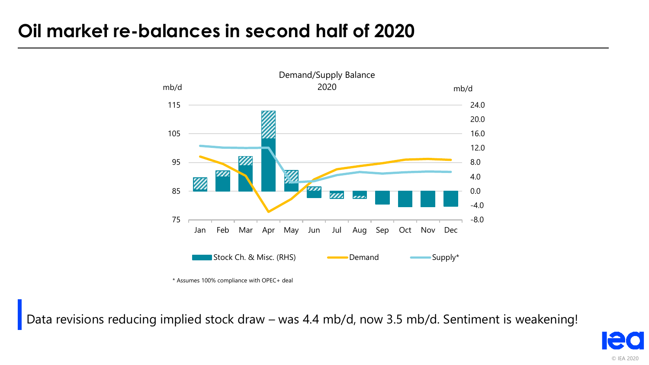### **Oil market re-balances in second half of 2020**



\* Assumes 100% compliance with OPEC+ deal \* Assumes 100% compliance with OPEC+ deal

Data revisions reducing implied stock draw – was 4.4 mb/d, now 3.5 mb/d. Sentiment is weakening!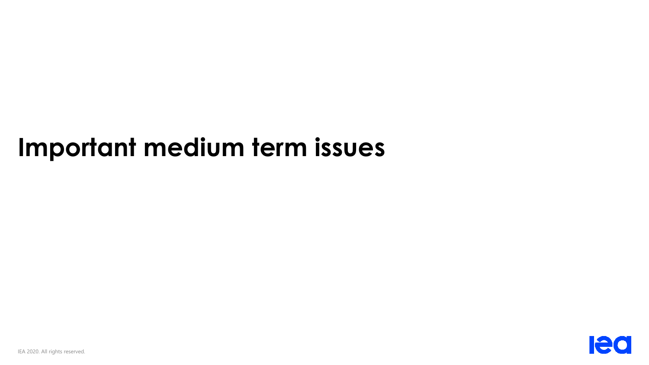## **Important medium term issues**

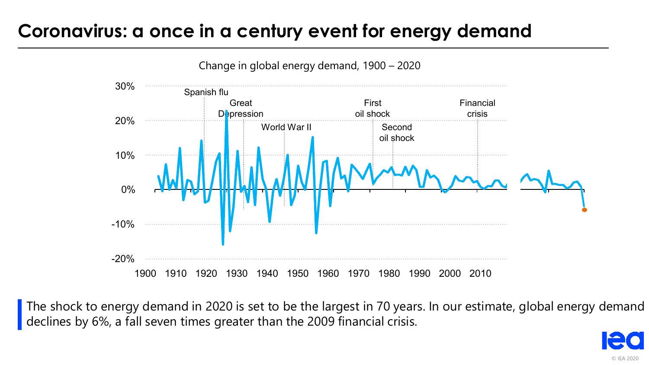#### **Coronavirus: a once in a century event for energy demand**



The shock to energy demand in 2020 is set to be the largest in 70 years. In our estimate, global energy demand declines by 6%, a fall seven times greater than the 2009 financial crisis.

© IEA 2020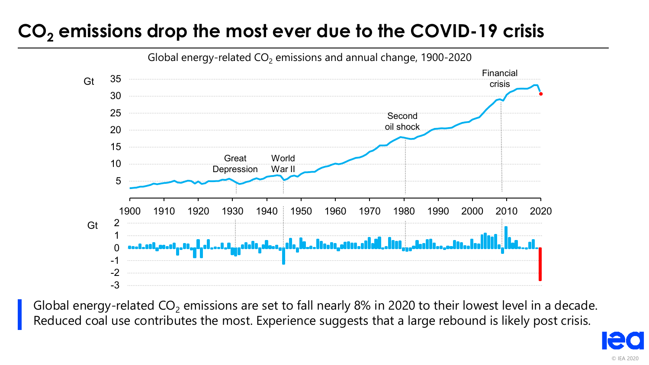### **CO<sup>2</sup> emissions drop the most ever due to the COVID-19 crisis**



Global energy-related  $CO<sub>2</sub>$  emissions are set to fall nearly 8% in 2020 to their lowest level in a decade. Reduced coal use contributes the most. Experience suggests that a large rebound is likely post crisis.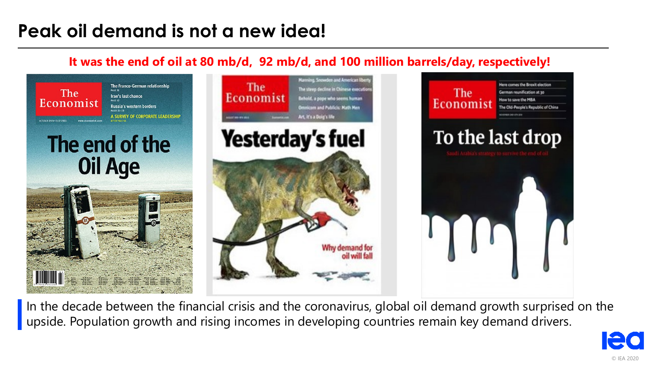### **Peak oil demand is not a new idea!**

#### **It was the end of oil at 80 mb/d, 92 mb/d, and 100 million barrels/day, respectively!**



In the decade between the financial crisis and the coronavirus, global oil demand growth surprised on the upside. Population growth and rising incomes in developing countries remain key demand drivers.

© IEA 2020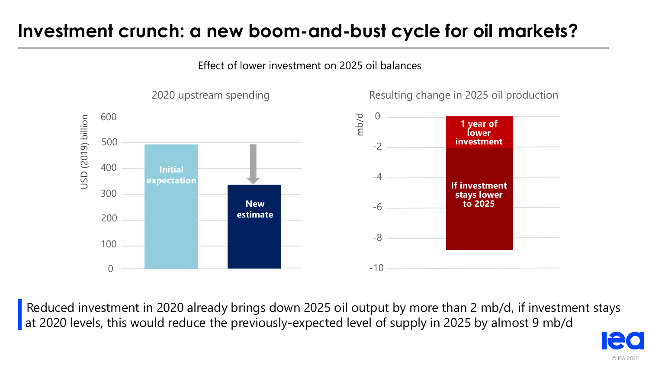### **Investment crunch: a new boom-and-bust cycle for oil markets?**

Effect of lower investment on 2025 oil balances



Reduced investment in 2020 already brings down 2025 oil output by more than 2 mb/d, if investment stays at 2020 levels, this would reduce the previously-expected level of supply in 2025 by almost 9 mb/d